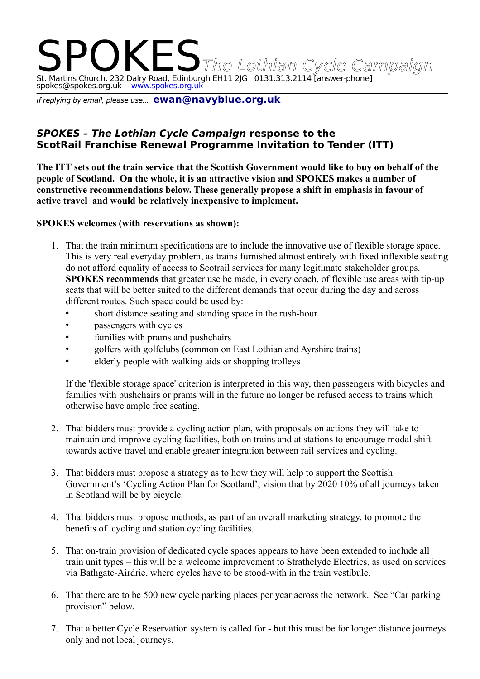# IKES The Lothian Cycle Campaign St. Martins Church, 232 Dalry Road, Edinburgh EH11 2JG 0131.313.2114 [answer-phone] spokes@spokes.org.uk www.spokes.org.uk

If replying by email, please use... **[ewan@navyblue.org.uk](mailto:ewan@navyblue.org.uk)**

## **SPOKES – The Lothian Cycle Campaign response to the ScotRail Franchise Renewal Programme Invitation to Tender (ITT)**

**The ITT sets out the train service that the Scottish Government would like to buy on behalf of the people of Scotland. On the whole, it is an attractive vision and SPOKES makes a number of constructive recommendations below. These generally propose a shift in emphasis in favour of active travel and would be relatively inexpensive to implement.**

#### **SPOKES welcomes (with reservations as shown):**

- 1. That the train minimum specifications are to include the innovative use of flexible storage space. This is very real everyday problem, as trains furnished almost entirely with fixed inflexible seating do not afford equality of access to Scotrail services for many legitimate stakeholder groups. **SPOKES recommends** that greater use be made, in every coach, of flexible use areas with tip-up seats that will be better suited to the different demands that occur during the day and across different routes. Such space could be used by:
	- short distance seating and standing space in the rush-hour
	- passengers with cycles
	- families with prams and pushchairs
	- golfers with golfclubs (common on East Lothian and Ayrshire trains)
	- elderly people with walking aids or shopping trolleys

If the 'flexible storage space' criterion is interpreted in this way, then passengers with bicycles and families with pushchairs or prams will in the future no longer be refused access to trains which otherwise have ample free seating.

- 2. That bidders must provide a cycling action plan, with proposals on actions they will take to maintain and improve cycling facilities, both on trains and at stations to encourage modal shift towards active travel and enable greater integration between rail services and cycling.
- 3. That bidders must propose a strategy as to how they will help to support the Scottish Government's 'Cycling Action Plan for Scotland', vision that by 2020 10% of all journeys taken in Scotland will be by bicycle.
- 4. That bidders must propose methods, as part of an overall marketing strategy, to promote the benefits of cycling and station cycling facilities.
- 5. That on-train provision of dedicated cycle spaces appears to have been extended to include all train unit types – this will be a welcome improvement to Strathclyde Electrics, as used on services via Bathgate-Airdrie, where cycles have to be stood-with in the train vestibule.
- 6. That there are to be 500 new cycle parking places per year across the network. See "Car parking provision" below.
- 7. That a better Cycle Reservation system is called for but this must be for longer distance journeys only and not local journeys.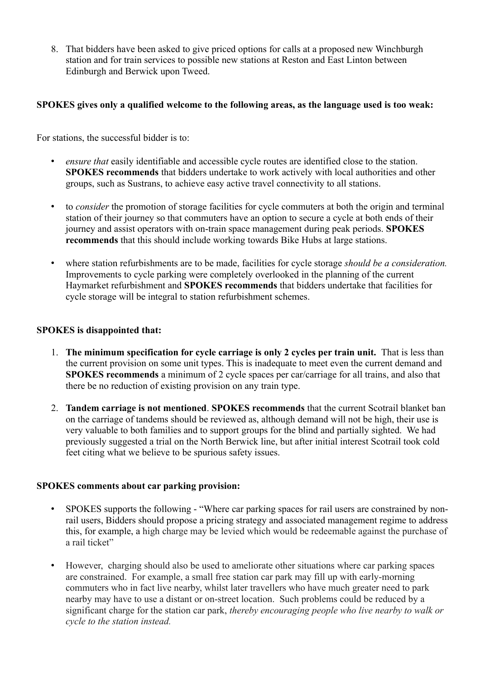8. That bidders have been asked to give priced options for calls at a proposed new Winchburgh station and for train services to possible new stations at Reston and East Linton between Edinburgh and Berwick upon Tweed.

#### **SPOKES gives only a qualified welcome to the following areas, as the language used is too weak:**

For stations, the successful bidder is to:

- *ensure that* easily identifiable and accessible cycle routes are identified close to the station. **SPOKES recommends** that bidders undertake to work actively with local authorities and other groups, such as Sustrans, to achieve easy active travel connectivity to all stations.
- to *consider* the promotion of storage facilities for cycle commuters at both the origin and terminal station of their journey so that commuters have an option to secure a cycle at both ends of their journey and assist operators with on-train space management during peak periods. **SPOKES recommends** that this should include working towards Bike Hubs at large stations.
- where station refurbishments are to be made, facilities for cycle storage *should be a consideration.* Improvements to cycle parking were completely overlooked in the planning of the current Haymarket refurbishment and **SPOKES recommends** that bidders undertake that facilities for cycle storage will be integral to station refurbishment schemes.

#### **SPOKES is disappointed that:**

- 1. **The minimum specification for cycle carriage is only 2 cycles per train unit.** That is less than the current provision on some unit types. This is inadequate to meet even the current demand and **SPOKES recommends** a minimum of 2 cycle spaces per car/carriage for all trains, and also that there be no reduction of existing provision on any train type.
- 2. **Tandem carriage is not mentioned**. **SPOKES recommends** that the current Scotrail blanket ban on the carriage of tandems should be reviewed as, although demand will not be high, their use is very valuable to both families and to support groups for the blind and partially sighted. We had previously suggested a trial on the North Berwick line, but after initial interest Scotrail took cold feet citing what we believe to be spurious safety issues.

#### **SPOKES comments about car parking provision:**

- SPOKES supports the following "Where car parking spaces for rail users are constrained by nonrail users, Bidders should propose a pricing strategy and associated management regime to address this, for example, a high charge may be levied which would be redeemable against the purchase of a rail ticket"
- However, charging should also be used to ameliorate other situations where car parking spaces are constrained. For example, a small free station car park may fill up with early-morning commuters who in fact live nearby, whilst later travellers who have much greater need to park nearby may have to use a distant or on-street location. Such problems could be reduced by a significant charge for the station car park, *thereby encouraging people who live nearby to walk or cycle to the station instead.*